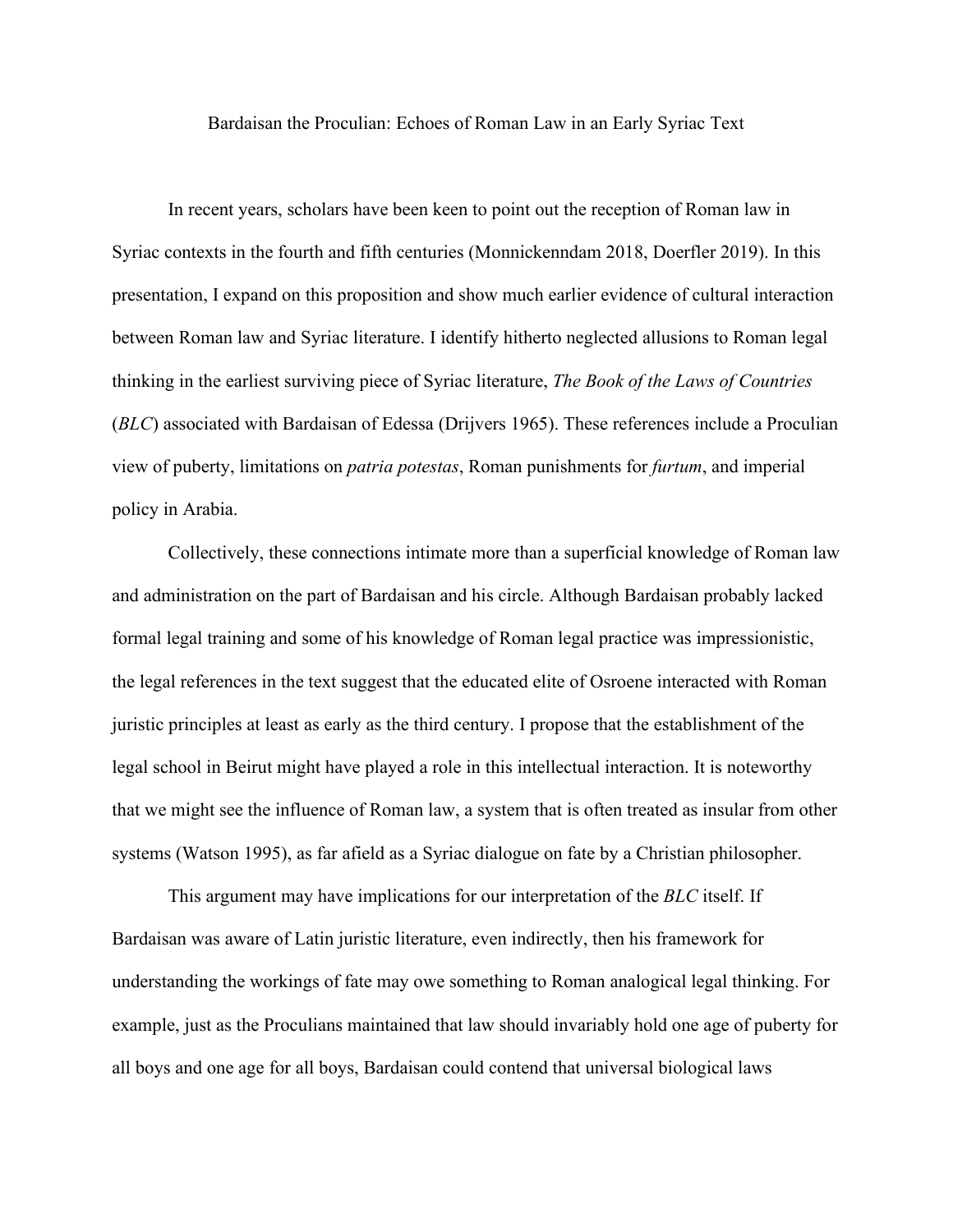Bardaisan the Proculian: Echoes of Roman Law in an Early Syriac Text

In recent years, scholars have been keen to point out the reception of Roman law in Syriac contexts in the fourth and fifth centuries (Monnickenndam 2018, Doerfler 2019). In this presentation, I expand on this proposition and show much earlier evidence of cultural interaction between Roman law and Syriac literature. I identify hitherto neglected allusions to Roman legal thinking in the earliest surviving piece of Syriac literature, *The Book of the Laws of Countries*  (*BLC*) associated with Bardaisan of Edessa (Drijvers 1965). These references include a Proculian view of puberty, limitations on *patria potestas*, Roman punishments for *furtum*, and imperial policy in Arabia.

Collectively, these connections intimate more than a superficial knowledge of Roman law and administration on the part of Bardaisan and his circle. Although Bardaisan probably lacked formal legal training and some of his knowledge of Roman legal practice was impressionistic, the legal references in the text suggest that the educated elite of Osroene interacted with Roman juristic principles at least as early as the third century. I propose that the establishment of the legal school in Beirut might have played a role in this intellectual interaction. It is noteworthy that we might see the influence of Roman law, a system that is often treated as insular from other systems (Watson 1995), as far afield as a Syriac dialogue on fate by a Christian philosopher.

This argument may have implications for our interpretation of the *BLC* itself. If Bardaisan was aware of Latin juristic literature, even indirectly, then his framework for understanding the workings of fate may owe something to Roman analogical legal thinking. For example, just as the Proculians maintained that law should invariably hold one age of puberty for all boys and one age for all boys, Bardaisan could contend that universal biological laws